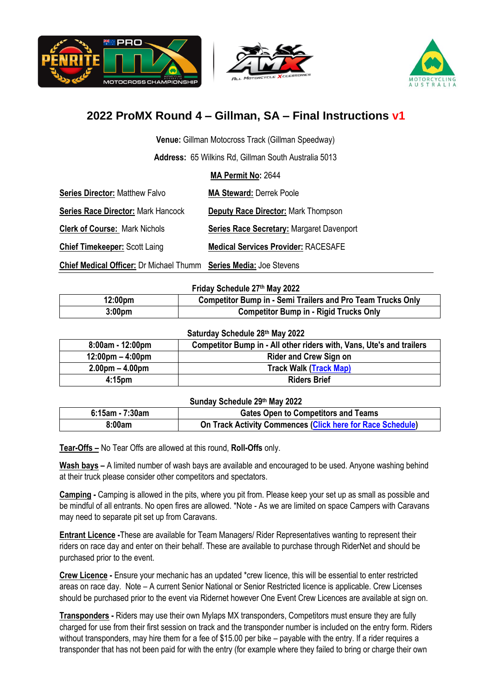





# **2022 ProMX Round 4 – Gillman, SA – Final Instructions v1**

**Venue:** Gillman Motocross Track (Gillman Speedway)

**Address:** 65 Wilkins Rd, Gillman South Australia 5013

**MA Permit No:** 2644

| <b>Series Director: Matthew Falvo</b>     | <b>MA Steward: Derrek Poole</b>                  |
|-------------------------------------------|--------------------------------------------------|
| <b>Series Race Director: Mark Hancock</b> | <b>Deputy Race Director: Mark Thompson</b>       |
| <b>Clerk of Course: Mark Nichols</b>      | <b>Series Race Secretary: Margaret Davenport</b> |
| <b>Chief Timekeeper: Scott Laing</b>      | <b>Medical Services Provider: RACESAFE</b>       |

**Chief Medical Officer:** Dr Michael Thumm **Series Media:** Joe Stevens

**Friday Schedule 27 th May 2022**

| 12:00pm            | <b>Competitor Bump in - Semi Trailers and Pro Team Trucks Only</b> |
|--------------------|--------------------------------------------------------------------|
| 3:00 <sub>pm</sub> | <b>Competitor Bump in - Rigid Trucks Only</b>                      |

#### **Saturday Schedule 28th May 2022**

| $8:00am - 12:00pm$                 | Competitor Bump in - All other riders with, Vans, Ute's and trailers |
|------------------------------------|----------------------------------------------------------------------|
| $12:00 \text{pm} - 4:00 \text{pm}$ | <b>Rider and Crew Sign on</b>                                        |
| $2.00pm - 4.00pm$                  | <b>Track Walk (Track Map)</b>                                        |
| 4:15 <sub>pm</sub>                 | <b>Riders Brief</b>                                                  |

#### **Sunday Schedule 29th May 2022**

| $6:15$ am - 7:30am | <b>Gates Open to Competitors and Teams</b>                 |  |
|--------------------|------------------------------------------------------------|--|
| 8:00am             | On Track Activity Commences (Click here for Race Schedule) |  |

**Tear-Offs –** No Tear Offs are allowed at this round, **Roll-Offs** only.

**Wash bays –** A limited number of wash bays are available and encouraged to be used. Anyone washing behind at their truck please consider other competitors and spectators.

**Camping -** Camping is allowed in the pits, where you pit from. Please keep your set up as small as possible and be mindful of all entrants. No open fires are allowed. \*Note - As we are limited on space Campers with Caravans may need to separate pit set up from Caravans.

**Entrant Licence -**These are available for Team Managers/ Rider Representatives wanting to represent their riders on race day and enter on their behalf. These are available to purchase through RiderNet and should be purchased prior to the event.

**Crew Licence -** Ensure your mechanic has an updated \*crew licence, this will be essential to enter restricted areas on race day. Note – A current Senior National or Senior Restricted licence is applicable. Crew Licenses should be purchased prior to the event via Ridernet however One Event Crew Licences are available at sign on.

**Transponders -** Riders may use their own Mylaps MX transponders, Competitors must ensure they are fully charged for use from their first session on track and the transponder number is included on the entry form. Riders without transponders, may hire them for a fee of \$15.00 per bike – payable with the entry. If a rider requires a transponder that has not been paid for with the entry (for example where they failed to bring or charge their own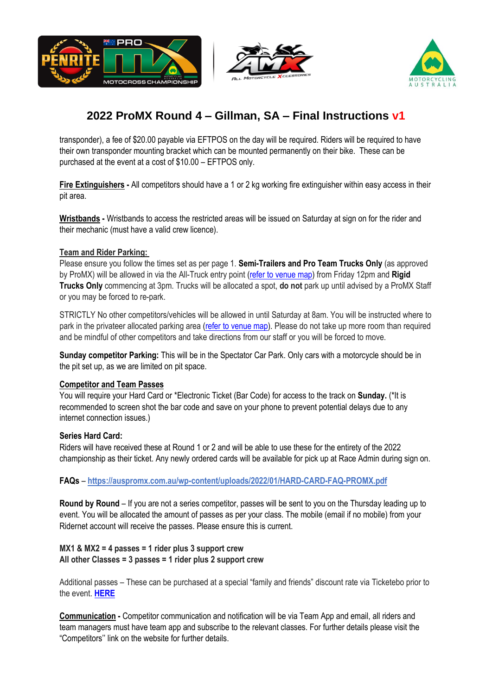





# **2022 ProMX Round 4 – Gillman, SA – Final Instructions v1**

transponder), a fee of \$20.00 payable via EFTPOS on the day will be required. Riders will be required to have their own transponder mounting bracket which can be mounted permanently on their bike. These can be purchased at the event at a cost of \$10.00 – EFTPOS only.

**Fire Extinguishers** - All competitors should have a 1 or 2 kg working fire extinguisher within easy access in their pit area.

**Wristbands -** Wristbands to access the restricted areas will be issued on Saturday at sign on for the rider and their mechanic (must have a valid crew licence).

# **Team and Rider Parking:**

Please ensure you follow the times set as per page 1. **Semi-Trailers and Pro Team Trucks Only** (as approved by ProMX) will be allowed in via the All-Truck entry point [\(refer to venue map\)](https://auspromx.com.au/wp-content/uploads/2022/05/ProMX-Round-4-Gillman-Venue-Map-v.2.pdf) from Friday 12pm and **Rigid Trucks Only** commencing at 3pm. Trucks will be allocated a spot, **do not** park up until advised by a ProMX Staff or you may be forced to re-park.

STRICTLY No other competitors/vehicles will be allowed in until Saturday at 8am. You will be instructed where to park in the privateer allocated parking area [\(refer to venue map\)](https://auspromx.com.au/wp-content/uploads/2022/05/ProMX-Round-4-Gillman-Venue-Map-v.2.pdf). Please do not take up more room than required and be mindful of other competitors and take directions from our staff or you will be forced to move.

**Sunday competitor Parking:** This will be in the Spectator Car Park. Only cars with a motorcycle should be in the pit set up, as we are limited on pit space.

## **Competitor and Team Passes**

You will require your Hard Card or \*Electronic Ticket (Bar Code) for access to the track on **Sunday.** (\*It is recommended to screen shot the bar code and save on your phone to prevent potential delays due to any internet connection issues.)

## **Series Hard Card:**

Riders will have received these at Round 1 or 2 and will be able to use these for the entirety of the 2022 championship as their ticket. Any newly ordered cards will be available for pick up at Race Admin during sign on.

# **FAQs** – **<https://auspromx.com.au/wp-content/uploads/2022/01/HARD-CARD-FAQ-PROMX.pdf>**

**Round by Round** – If you are not a series competitor, passes will be sent to you on the Thursday leading up to event. You will be allocated the amount of passes as per your class. The mobile (email if no mobile) from your Ridernet account will receive the passes. Please ensure this is current.

## **MX1 & MX2 = 4 passes = 1 rider plus 3 support crew All other Classes = 3 passes = 1 rider plus 2 support crew**

Additional passes – These can be purchased at a special "family and friends" discount rate via Ticketebo prior to the event. **[HERE](https://www.ticketebo.com.au/motorcyclingaustralia/competitor-friends-family-discount-tickets-penrite-promx-championship-round-4-2022.html)**

**Communication -** Competitor communication and notification will be via Team App and email, all riders and team managers must have team app and subscribe to the relevant classes. For further details please visit the "Competitors'' link on the website for further details.